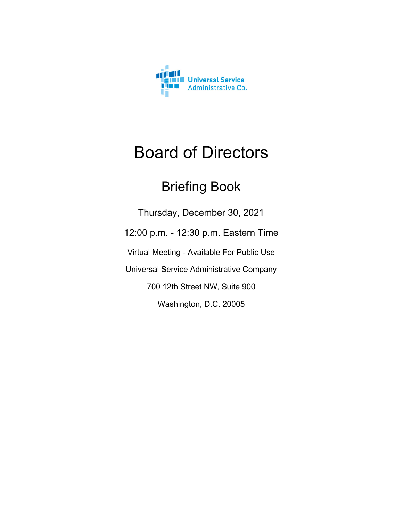

# Board of Directors

## Briefing Book

Thursday, December 30, 2021 12:00 p.m. - 12:30 p.m. Eastern Time Virtual Meeting - Available For Public Use Universal Service Administrative Company 700 12th Street NW, Suite 900 Washington, D.C. 20005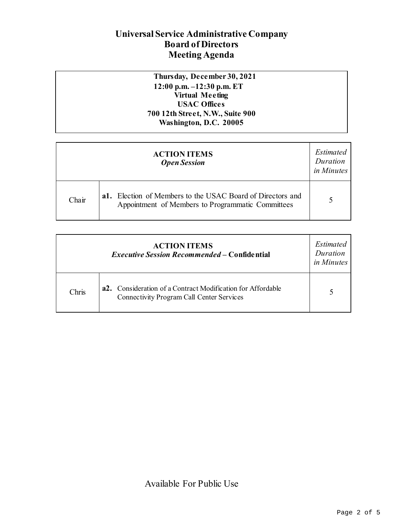### **Universal Service Administrative Company Board of Directors Meeting Agenda**

#### **Thursday, December 30, 2021 12:00 p.m. –12:30 p.m. ET Virtual Meeting USAC Offices 700 12th Street, N.W., Suite 900 Washington, D.C. 20005**

| <b>ACTION ITEMS</b><br><b>Open Session</b> |                                                                                                                 | Estimated<br>Duration<br>in Minutes |
|--------------------------------------------|-----------------------------------------------------------------------------------------------------------------|-------------------------------------|
| Chair                                      | a1. Election of Members to the USAC Board of Directors and<br>Appointment of Members to Programmatic Committees |                                     |

| <b>ACTION ITEMS</b><br><b>Executive Session Recommended – Confidential</b> |                                                                                                                 |  |
|----------------------------------------------------------------------------|-----------------------------------------------------------------------------------------------------------------|--|
| Chris                                                                      | a2. Consideration of a Contract Modification for Affordable<br><b>Connectivity Program Call Center Services</b> |  |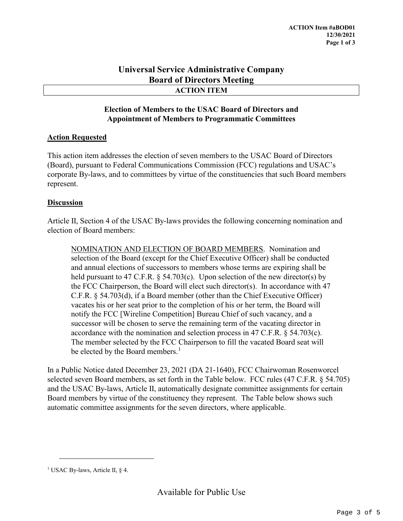#### **Universal Service Administrative Company Board of Directors Meeting ACTION ITEM**

#### **Election of Members to the USAC Board of Directors and Appointment of Members to Programmatic Committees**

#### **Action Requested**

This action item addresses the election of seven members to the USAC Board of Directors (Board), pursuant to Federal Communications Commission (FCC) regulations and USAC's corporate By-laws, and to committees by virtue of the constituencies that such Board members represent.

#### **Discussion**

Article II, Section 4 of the USAC By-laws provides the following concerning nomination and election of Board members:

NOMINATION AND ELECTION OF BOARD MEMBERS. Nomination and selection of the Board (except for the Chief Executive Officer) shall be conducted and annual elections of successors to members whose terms are expiring shall be held pursuant to 47 C.F.R.  $\S$  54.703(c). Upon selection of the new director(s) by the FCC Chairperson, the Board will elect such director(s). In accordance with 47 C.F.R. § 54.703(d), if a Board member (other than the Chief Executive Officer) vacates his or her seat prior to the completion of his or her term, the Board will notify the FCC [Wireline Competition] Bureau Chief of such vacancy, and a successor will be chosen to serve the remaining term of the vacating director in accordance with the nomination and selection process in 47 C.F.R. § 54.703(c). The member selected by the FCC Chairperson to fill the vacated Board seat will be elected by the Board members.<sup>[1](#page-2-0)</sup>

In a Public Notice dated December 23, 2021 (DA 21-1640), FCC Chairwoman Rosenworcel selected seven Board members, as set forth in the Table below. FCC rules (47 C.F.R. § 54.705) and the USAC By-laws, Article II, automatically designate committee assignments for certain Board members by virtue of the constituency they represent. The Table below shows such automatic committee assignments for the seven directors, where applicable.

<span id="page-2-0"></span><sup>&</sup>lt;sup>1</sup> USAC By-laws, Article II, § 4.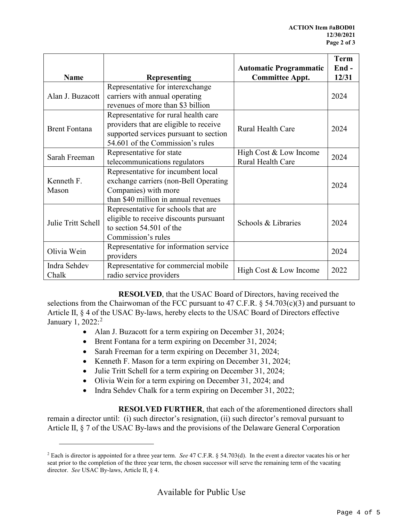|                      |                                        |                               | <b>Term</b> |
|----------------------|----------------------------------------|-------------------------------|-------------|
|                      |                                        | <b>Automatic Programmatic</b> | End-        |
| <b>Name</b>          | <b>Representing</b>                    | <b>Committee Appt.</b>        | 12/31       |
|                      | Representative for interexchange       |                               |             |
| Alan J. Buzacott     | carriers with annual operating         |                               | 2024        |
|                      | revenues of more than \$3 billion      |                               |             |
|                      | Representative for rural health care   |                               |             |
| <b>Brent Fontana</b> | providers that are eligible to receive | <b>Rural Health Care</b>      | 2024        |
|                      | supported services pursuant to section |                               |             |
|                      | 54.601 of the Commission's rules       |                               |             |
|                      | Representative for state               | High Cost & Low Income        | 2024        |
| Sarah Freeman        | telecommunications regulators          | Rural Health Care             |             |
|                      | Representative for incumbent local     |                               |             |
| Kenneth F.           | exchange carriers (non-Bell Operating  |                               |             |
| Mason                | Companies) with more                   |                               | 2024        |
|                      | than \$40 million in annual revenues   |                               |             |
|                      | Representative for schools that are    |                               |             |
|                      | eligible to receive discounts pursuant |                               |             |
| Julie Tritt Schell   | to section 54.501 of the               | Schools & Libraries           | 2024        |
|                      | Commission's rules                     |                               |             |
| Olivia Wein          | Representative for information service |                               | 2024        |
|                      | providers                              |                               |             |
| Indra Sehdev         | Representative for commercial mobile   |                               | 2022        |
| Chalk                | radio service providers                | High Cost & Low Income        |             |

**RESOLVED**, that the USAC Board of Directors, having received the selections from the Chairwoman of the FCC pursuant to 47 C.F.R.  $\S$  54.703(c)(3) and pursuant to Article II, § 4 of the USAC By-laws, hereby elects to the USAC Board of Directors effective January 1, [2](#page-3-0)022:<sup>2</sup>

- Alan J. Buzacott for a term expiring on December 31, 2024;
- Brent Fontana for a term expiring on December 31, 2024;
- Sarah Freeman for a term expiring on December 31, 2024;
- Kenneth F. Mason for a term expiring on December 31, 2024;
- Julie Tritt Schell for a term expiring on December 31, 2024;
- Olivia Wein for a term expiring on December 31, 2024; and
- Indra Sehdev Chalk for a term expiring on December 31, 2022;

**RESOLVED FURTHER**, that each of the aforementioned directors shall remain a director until: (i) such director's resignation, (ii) such director's removal pursuant to Article II, § 7 of the USAC By-laws and the provisions of the Delaware General Corporation

<span id="page-3-0"></span><sup>2</sup> Each is director is appointed for a three year term. *See* 47 C.F.R. § 54.703(d). In the event a director vacates his or her seat prior to the completion of the three year term, the chosen successor will serve the remaining term of the vacating director. *See* USAC By-laws, Article II, § 4.